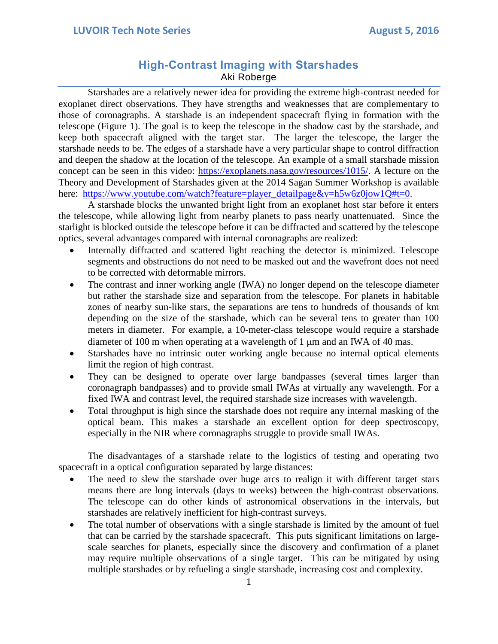## **High-Contrast Imaging with Starshades** Aki Roberge

Starshades are a relatively newer idea for providing the extreme high-contrast needed for exoplanet direct observations. They have strengths and weaknesses that are complementary to those of coronagraphs. A starshade is an independent spacecraft flying in formation with the telescope (Figure 1). The goal is to keep the telescope in the shadow cast by the starshade, and keep both spacecraft aligned with the target star. The larger the telescope, the larger the starshade needs to be. The edges of a starshade have a very particular shape to control diffraction and deepen the shadow at the location of the telescope. An example of a small starshade mission concept can be seen in this video: [https://exoplanets.nasa.gov/resources/1015/.](https://exoplanets.nasa.gov/resources/1015/) A lecture on the Theory and Development of Starshades given at the 2014 Sagan Summer Workshop is available here: [https://www.youtube.com/watch?feature=player\\_detailpage&v=h5w6z0jow1Q#t=0.](https://www.youtube.com/watch?feature=player_detailpage&v=h5w6z0jow1Q#t=0)

A starshade blocks the unwanted bright light from an exoplanet host star before it enters the telescope, while allowing light from nearby planets to pass nearly unattenuated. Since the starlight is blocked outside the telescope before it can be diffracted and scattered by the telescope optics, several advantages compared with internal coronagraphs are realized:

- Internally diffracted and scattered light reaching the detector is minimized. Telescope segments and obstructions do not need to be masked out and the wavefront does not need to be corrected with deformable mirrors.
- The contrast and inner working angle (IWA) no longer depend on the telescope diameter but rather the starshade size and separation from the telescope. For planets in habitable zones of nearby sun-like stars, the separations are tens to hundreds of thousands of km depending on the size of the starshade, which can be several tens to greater than 100 meters in diameter. For example, a 10-meter-class telescope would require a starshade diameter of 100 m when operating at a wavelength of 1  $\mu$ m and an IWA of 40 mas.
- Starshades have no intrinsic outer working angle because no internal optical elements limit the region of high contrast.
- They can be designed to operate over large bandpasses (several times larger than coronagraph bandpasses) and to provide small IWAs at virtually any wavelength. For a fixed IWA and contrast level, the required starshade size increases with wavelength.
- Total throughput is high since the starshade does not require any internal masking of the optical beam. This makes a starshade an excellent option for deep spectroscopy, especially in the NIR where coronagraphs struggle to provide small IWAs.

The disadvantages of a starshade relate to the logistics of testing and operating two spacecraft in a optical configuration separated by large distances:

- The need to slew the starshade over huge arcs to realign it with different target stars means there are long intervals (days to weeks) between the high-contrast observations. The telescope can do other kinds of astronomical observations in the intervals, but starshades are relatively inefficient for high-contrast surveys.
- The total number of observations with a single starshade is limited by the amount of fuel that can be carried by the starshade spacecraft. This puts significant limitations on largescale searches for planets, especially since the discovery and confirmation of a planet may require multiple observations of a single target. This can be mitigated by using multiple starshades or by refueling a single starshade, increasing cost and complexity.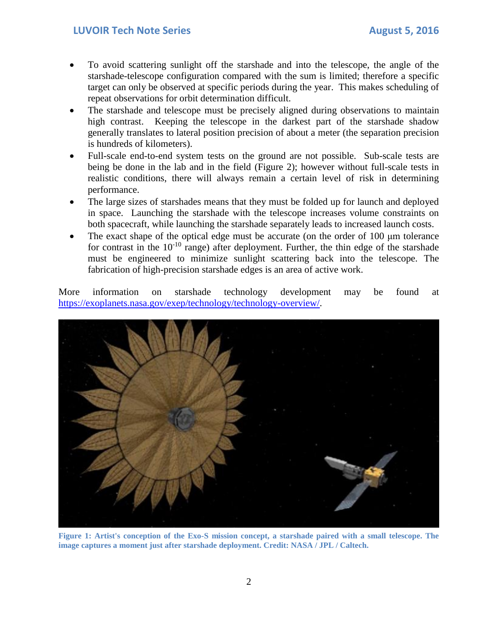- To avoid scattering sunlight off the starshade and into the telescope, the angle of the starshade-telescope configuration compared with the sum is limited; therefore a specific target can only be observed at specific periods during the year. This makes scheduling of repeat observations for orbit determination difficult.
- The starshade and telescope must be precisely aligned during observations to maintain high contrast. Keeping the telescope in the darkest part of the starshade shadow generally translates to lateral position precision of about a meter (the separation precision is hundreds of kilometers).
- Full-scale end-to-end system tests on the ground are not possible. Sub-scale tests are being be done in the lab and in the field (Figure 2); however without full-scale tests in realistic conditions, there will always remain a certain level of risk in determining performance.
- The large sizes of starshades means that they must be folded up for launch and deployed in space. Launching the starshade with the telescope increases volume constraints on both spacecraft, while launching the starshade separately leads to increased launch costs.
- The exact shape of the optical edge must be accurate (on the order of 100 µm tolerance for contrast in the  $10^{-10}$  range) after deployment. Further, the thin edge of the starshade must be engineered to minimize sunlight scattering back into the telescope. The fabrication of high-precision starshade edges is an area of active work.

More information on starshade technology development may be found at [https://exoplanets.nasa.gov/exep/technology/technology-overview/.](https://exoplanets.nasa.gov/exep/technology/technology-overview/)



**Figure 1: Artist's conception of the Exo-S mission concept, a starshade paired with a small telescope. The image captures a moment just after starshade deployment. Credit: NASA / JPL / Caltech.**